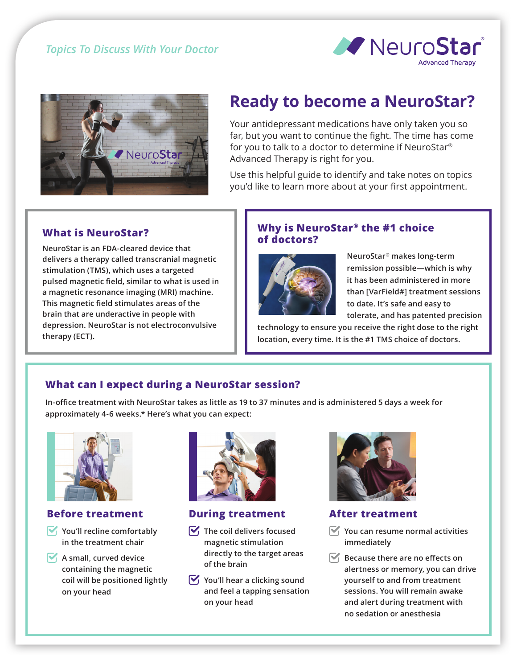



# **Ready to become a NeuroStar?**

Your antidepressant medications have only taken you so far, but you want to continue the fight. The time has come for you to talk to a doctor to determine if NeuroStar® Advanced Therapy is right for you.

Use this helpful guide to identify and take notes on topics you'd like to learn more about at your first appointment.

# **What is NeuroStar?**

**NeuroStar is an FDA-cleared device that delivers a therapy called transcranial magnetic stimulation (TMS), which uses a targeted pulsed magnetic field, similar to what is used in a magnetic resonance imaging (MRI) machine. This magnetic field stimulates areas of the brain that are underactive in people with depression. NeuroStar is not electroconvulsive therapy (ECT).**

#### **Why is NeuroStar® the #1 choice of doctors?**



**NeuroStar® makes long-term remission possible—which is why it has been administered in more than [VarField#] treatment sessions to date. It's safe and easy to tolerate, and has patented precision** 

**technology to ensure you receive the right dose to the right location, every time. It is the #1 TMS choice of doctors.** 

# **What can I expect during a NeuroStar session?**

**In-office treatment with NeuroStar takes as little as 19 to 37 minutes and is administered 5 days a week for approximately 4-6 weeks.\* Here's what you can expect:**



#### **Before treatment**

- **You'll recline comfortably in the treatment chair**
- **A** small, curved device **containing the magnetic coil will be positioned lightly on your head**



#### **During treatment**

- $\nabla$  The coil delivers focused **magnetic stimulation directly to the target areas of the brain**
- $\mathbf{V}_1$  You'll hear a clicking sound **and feel a tapping sensation on your head**



#### **After treatment**

- **You can resume normal activities immediately**
- $\blacktriangledown$  **Because there are no effects on alertness or memory, you can drive yourself to and from treatment sessions. You will remain awake and alert during treatment with no sedation or anesthesia**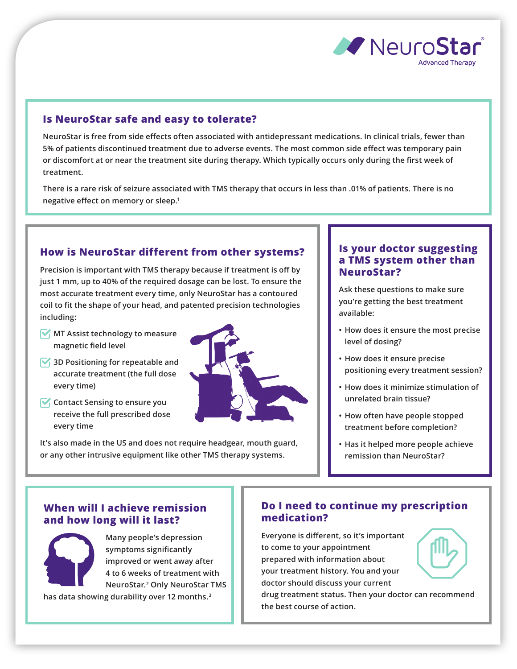

#### **Is NeuroStar safe and easy to tolerate?**

**NeuroStar is free from side effects often associated with antidepressant medications. In clinical trials, fewer than 5% of patients discontinued treatment due to adverse events. The most common side effect was temporary pain or discomfort at or near the treatment site during therapy. Which typically occurs only during the first week of treatment.**

**There is a rare risk of seizure associated with TMS therapy that occurs in less than .01% of patients. There is no negative effect on memory or sleep.1**

### **How is NeuroStar different from other systems?**

**Precision is important with TMS therapy because if treatment is off by just 1 mm, up to 40% of the required dosage can be lost. To ensure the most accurate treatment every time, only NeuroStar has a contoured coil to fit the shape of your head, and patented precision technologies including:** 

- **MT Assist technology to measure magnetic field level**
- **3D Positioning for repeatable and accurate treatment (the full dose every time)**
- *Contact Sensing to ensure you* **receive the full prescribed dose every time**



**It's also made in the US and does not require headgear, mouth guard, or any other intrusive equipment like other TMS therapy systems.**

#### **Is your doctor suggesting a TMS system other than NeuroStar?**

**Ask these questions to make sure you're getting the best treatment available:**

- **How does it ensure the most precise level of dosing?**
- **How does it ensure precise positioning every treatment session?**
- **How does it minimize stimulation of unrelated brain tissue?**
- **How often have people stopped treatment before completion?**
- **Has it helped more people achieve remission than NeuroStar?**

### **When will I achieve remission and how long will it last?**

**Many people's depression symptoms significantly improved or went away after 4 to 6 weeks of treatment with NeuroStar.2 Only NeuroStar TMS has data showing durability over 12 months.<sup>3</sup>**

## **Do I need to continue my prescription medication?**

**Everyone is different, so it's important to come to your appointment prepared with information about your treatment history. You and your doctor should discuss your current** 

**drug treatment status. Then your doctor can recommend the best course of action.**